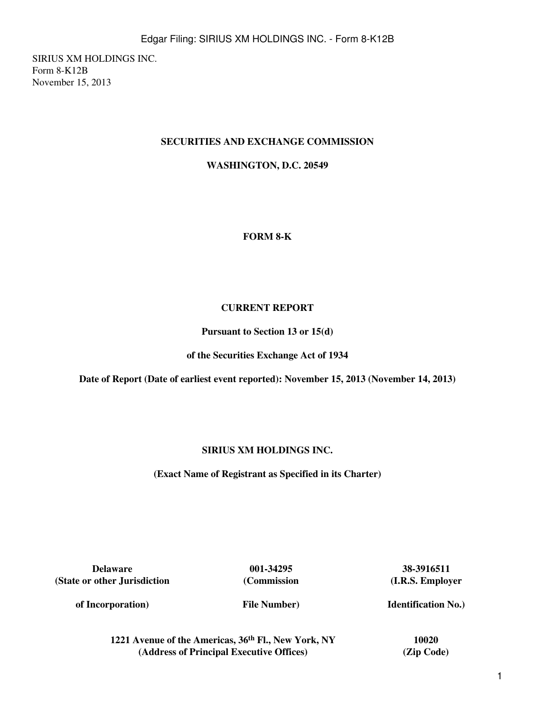SIRIUS XM HOLDINGS INC. Form 8-K12B November 15, 2013

## **SECURITIES AND EXCHANGE COMMISSION**

**WASHINGTON, D.C. 20549**

### **FORM 8-K**

### **CURRENT REPORT**

**Pursuant to Section 13 or 15(d)**

**of the Securities Exchange Act of 1934**

**Date of Report (Date of earliest event reported): November 15, 2013 (November 14, 2013)**

## **SIRIUS XM HOLDINGS INC.**

**(Exact Name of Registrant as Specified in its Charter)**

**Delaware 001-34295 38-3916511 (State or other Jurisdiction**

**(Commission**

**(I.R.S. Employer**

**of Incorporation)**

**File Number)**

**Identification No.)**

**1221 Avenue of the Americas, 36th Fl., New York, NY 10020 (Address of Principal Executive Offices) (Zip Code)**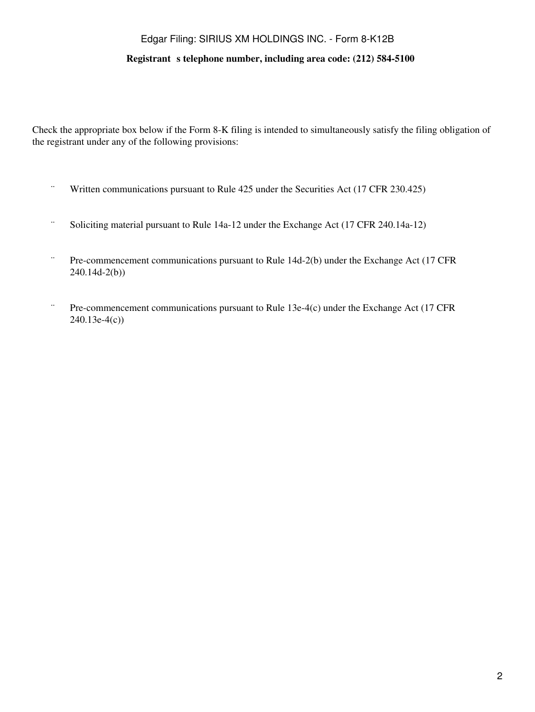# Edgar Filing: SIRIUS XM HOLDINGS INC. - Form 8-K12B

#### **Registrant** s telephone number, including area code: (212) 584-5100

Check the appropriate box below if the Form 8-K filing is intended to simultaneously satisfy the filing obligation of the registrant under any of the following provisions:

- ¨ Written communications pursuant to Rule 425 under the Securities Act (17 CFR 230.425)
- ¨ Soliciting material pursuant to Rule 14a-12 under the Exchange Act (17 CFR 240.14a-12)
- ¨ Pre-commencement communications pursuant to Rule 14d-2(b) under the Exchange Act (17 CFR 240.14d-2(b))
- ¨ Pre-commencement communications pursuant to Rule 13e-4(c) under the Exchange Act (17 CFR 240.13e-4(c))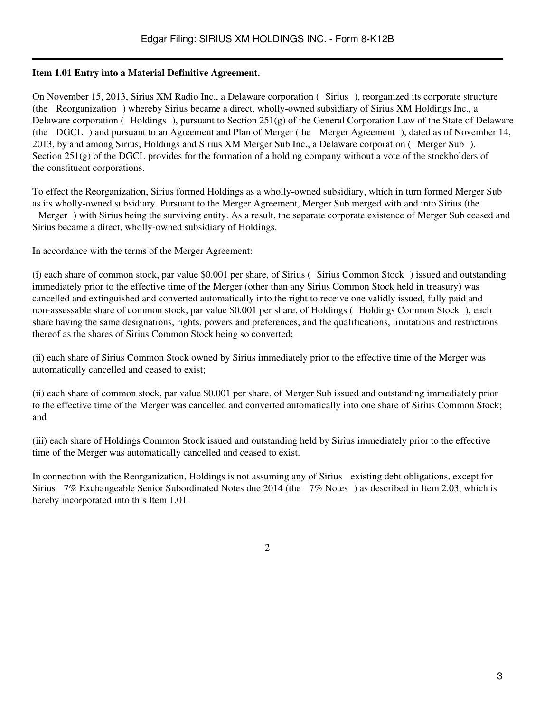### **Item 1.01 Entry into a Material Definitive Agreement.**

On November 15, 2013, Sirius XM Radio Inc., a Delaware corporation (Sirius), reorganized its corporate structure (the Reorganization) whereby Sirius became a direct, wholly-owned subsidiary of Sirius XM Holdings Inc., a Delaware corporation (Holdings), pursuant to Section 251(g) of the General Corporation Law of the State of Delaware (the DGCL) and pursuant to an Agreement and Plan of Merger (the Merger Agreement), dated as of November 14, 2013, by and among Sirius, Holdings and Sirius XM Merger Sub Inc., a Delaware corporation (Merger Sub). Section  $251(g)$  of the DGCL provides for the formation of a holding company without a vote of the stockholders of the constituent corporations.

To effect the Reorganization, Sirius formed Holdings as a wholly-owned subsidiary, which in turn formed Merger Sub as its wholly-owned subsidiary. Pursuant to the Merger Agreement, Merger Sub merged with and into Sirius (the Merger) with Sirius being the surviving entity. As a result, the separate corporate existence of Merger Sub ceased and Sirius became a direct, wholly-owned subsidiary of Holdings.

In accordance with the terms of the Merger Agreement:

 $(i)$  each share of common stock, par value \$0.001 per share, of Sirius (Sirius Common Stock) issued and outstanding immediately prior to the effective time of the Merger (other than any Sirius Common Stock held in treasury) was cancelled and extinguished and converted automatically into the right to receive one validly issued, fully paid and non-assessable share of common stock, par value \$0.001 per share, of Holdings (Holdings Common Stock), each share having the same designations, rights, powers and preferences, and the qualifications, limitations and restrictions thereof as the shares of Sirius Common Stock being so converted;

(ii) each share of Sirius Common Stock owned by Sirius immediately prior to the effective time of the Merger was automatically cancelled and ceased to exist;

(ii) each share of common stock, par value \$0.001 per share, of Merger Sub issued and outstanding immediately prior to the effective time of the Merger was cancelled and converted automatically into one share of Sirius Common Stock; and

(iii) each share of Holdings Common Stock issued and outstanding held by Sirius immediately prior to the effective time of the Merger was automatically cancelled and ceased to exist.

In connection with the Reorganization, Holdings is not assuming any of Sirius existing debt obligations, except for Sirius 7% Exchangeable Senior Subordinated Notes due 2014 (the 7% Notes) as described in Item 2.03, which is hereby incorporated into this Item 1.01.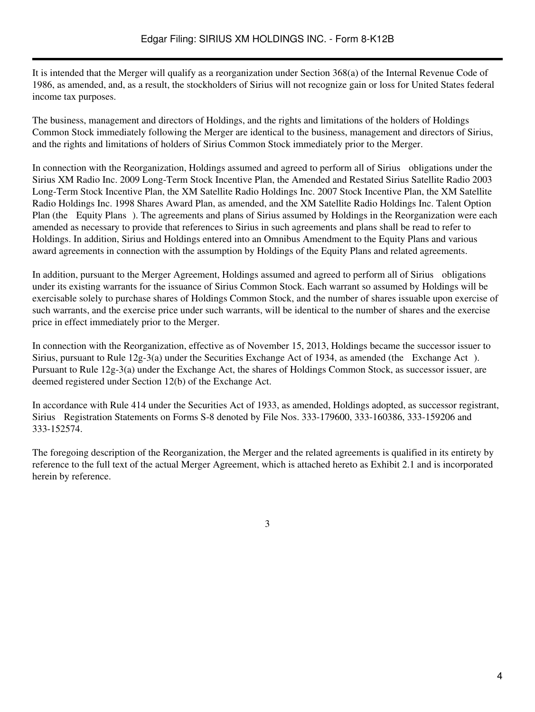It is intended that the Merger will qualify as a reorganization under Section 368(a) of the Internal Revenue Code of 1986, as amended, and, as a result, the stockholders of Sirius will not recognize gain or loss for United States federal income tax purposes.

The business, management and directors of Holdings, and the rights and limitations of the holders of Holdings Common Stock immediately following the Merger are identical to the business, management and directors of Sirius, and the rights and limitations of holders of Sirius Common Stock immediately prior to the Merger.

In connection with the Reorganization, Holdings assumed and agreed to perform all of Sirius obligations under the Sirius XM Radio Inc. 2009 Long-Term Stock Incentive Plan, the Amended and Restated Sirius Satellite Radio 2003 Long-Term Stock Incentive Plan, the XM Satellite Radio Holdings Inc. 2007 Stock Incentive Plan, the XM Satellite Radio Holdings Inc. 1998 Shares Award Plan, as amended, and the XM Satellite Radio Holdings Inc. Talent Option Plan (the Equity Plans). The agreements and plans of Sirius assumed by Holdings in the Reorganization were each amended as necessary to provide that references to Sirius in such agreements and plans shall be read to refer to Holdings. In addition, Sirius and Holdings entered into an Omnibus Amendment to the Equity Plans and various award agreements in connection with the assumption by Holdings of the Equity Plans and related agreements.

In addition, pursuant to the Merger Agreement, Holdings assumed and agreed to perform all of Sirius obligations under its existing warrants for the issuance of Sirius Common Stock. Each warrant so assumed by Holdings will be exercisable solely to purchase shares of Holdings Common Stock, and the number of shares issuable upon exercise of such warrants, and the exercise price under such warrants, will be identical to the number of shares and the exercise price in effect immediately prior to the Merger.

In connection with the Reorganization, effective as of November 15, 2013, Holdings became the successor issuer to Sirius, pursuant to Rule 12g-3(a) under the Securities Exchange Act of 1934, as amended (the Exchange Act). Pursuant to Rule 12g-3(a) under the Exchange Act, the shares of Holdings Common Stock, as successor issuer, are deemed registered under Section 12(b) of the Exchange Act.

In accordance with Rule 414 under the Securities Act of 1933, as amended, Holdings adopted, as successor registrant, Sirius Registration Statements on Forms S-8 denoted by File Nos. 333-179600, 333-160386, 333-159206 and 333-152574.

The foregoing description of the Reorganization, the Merger and the related agreements is qualified in its entirety by reference to the full text of the actual Merger Agreement, which is attached hereto as Exhibit 2.1 and is incorporated herein by reference.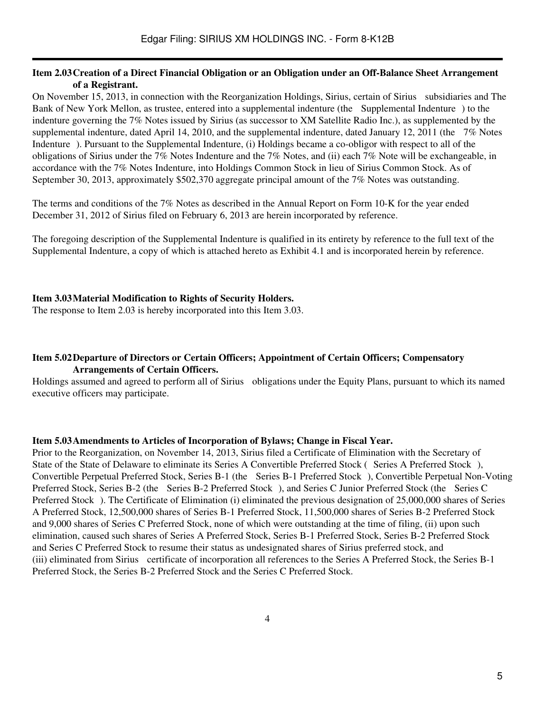#### **Item 2.03Creation of a Direct Financial Obligation or an Obligation under an Off-Balance Sheet Arrangement of a Registrant.**

On November 15, 2013, in connection with the Reorganization Holdings, Sirius, certain of Sirius subsidiaries and The Bank of New York Mellon, as trustee, entered into a supplemental indenture (the Supplemental Indenture) to the indenture governing the 7% Notes issued by Sirius (as successor to XM Satellite Radio Inc.), as supplemented by the supplemental indenture, dated April 14, 2010, and the supplemental indenture, dated January 12, 2011 (the 7% Notes Indenture). Pursuant to the Supplemental Indenture, (i) Holdings became a co-obligor with respect to all of the obligations of Sirius under the 7% Notes Indenture and the 7% Notes, and (ii) each 7% Note will be exchangeable, in accordance with the 7% Notes Indenture, into Holdings Common Stock in lieu of Sirius Common Stock. As of September 30, 2013, approximately \$502,370 aggregate principal amount of the 7% Notes was outstanding.

The terms and conditions of the 7% Notes as described in the Annual Report on Form 10-K for the year ended December 31, 2012 of Sirius filed on February 6, 2013 are herein incorporated by reference.

The foregoing description of the Supplemental Indenture is qualified in its entirety by reference to the full text of the Supplemental Indenture, a copy of which is attached hereto as Exhibit 4.1 and is incorporated herein by reference.

### **Item 3.03Material Modification to Rights of Security Holders.**

The response to Item 2.03 is hereby incorporated into this Item 3.03.

#### **Item 5.02Departure of Directors or Certain Officers; Appointment of Certain Officers; Compensatory Arrangements of Certain Officers.**

Holdings assumed and agreed to perform all of Sirius obligations under the Equity Plans, pursuant to which its named executive officers may participate.

#### **Item 5.03Amendments to Articles of Incorporation of Bylaws; Change in Fiscal Year.**

Prior to the Reorganization, on November 14, 2013, Sirius filed a Certificate of Elimination with the Secretary of State of the State of Delaware to eliminate its Series A Convertible Preferred Stock (Series A Preferred Stock), Convertible Perpetual Preferred Stock, Series B-1 (the Series B-1 Preferred Stock), Convertible Perpetual Non-Voting Preferred Stock, Series B-2 (the Series B-2 Preferred Stock), and Series C Junior Preferred Stock (the Series C Preferred Stock). The Certificate of Elimination (i) eliminated the previous designation of 25,000,000 shares of Series A Preferred Stock, 12,500,000 shares of Series B-1 Preferred Stock, 11,500,000 shares of Series B-2 Preferred Stock and 9,000 shares of Series C Preferred Stock, none of which were outstanding at the time of filing, (ii) upon such elimination, caused such shares of Series A Preferred Stock, Series B-1 Preferred Stock, Series B-2 Preferred Stock and Series C Preferred Stock to resume their status as undesignated shares of Sirius preferred stock, and (iii) eliminated from Sirius certificate of incorporation all references to the Series A Preferred Stock, the Series B-1 Preferred Stock, the Series B-2 Preferred Stock and the Series C Preferred Stock.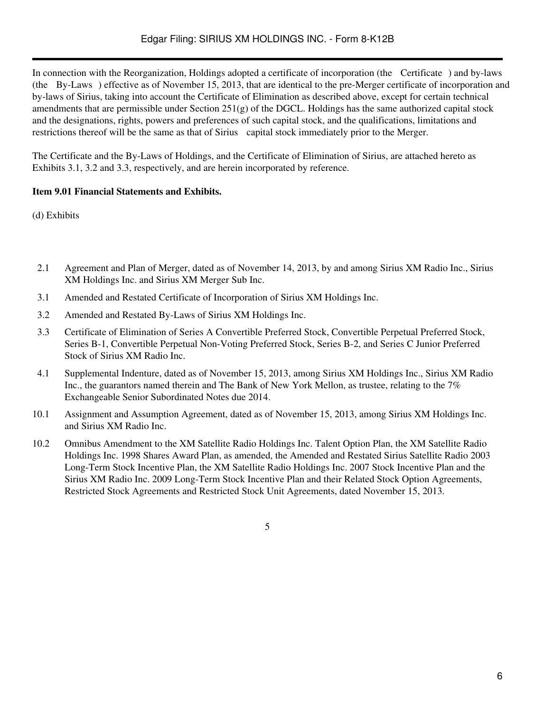In connection with the Reorganization, Holdings adopted a certificate of incorporation (the Certificate) and by-laws (the By-Laws) effective as of November 15, 2013, that are identical to the pre-Merger certificate of incorporation and by-laws of Sirius, taking into account the Certificate of Elimination as described above, except for certain technical amendments that are permissible under Section  $251(g)$  of the DGCL. Holdings has the same authorized capital stock and the designations, rights, powers and preferences of such capital stock, and the qualifications, limitations and restrictions thereof will be the same as that of Sirius capital stock immediately prior to the Merger.

The Certificate and the By-Laws of Holdings, and the Certificate of Elimination of Sirius, are attached hereto as Exhibits 3.1, 3.2 and 3.3, respectively, and are herein incorporated by reference.

# **Item 9.01 Financial Statements and Exhibits.**

(d) Exhibits

- 2.1 Agreement and Plan of Merger, dated as of November 14, 2013, by and among Sirius XM Radio Inc., Sirius XM Holdings Inc. and Sirius XM Merger Sub Inc.
- 3.1 Amended and Restated Certificate of Incorporation of Sirius XM Holdings Inc.
- 3.2 Amended and Restated By-Laws of Sirius XM Holdings Inc.
- 3.3 Certificate of Elimination of Series A Convertible Preferred Stock, Convertible Perpetual Preferred Stock, Series B-1, Convertible Perpetual Non-Voting Preferred Stock, Series B-2, and Series C Junior Preferred Stock of Sirius XM Radio Inc.
- 4.1 Supplemental Indenture, dated as of November 15, 2013, among Sirius XM Holdings Inc., Sirius XM Radio Inc., the guarantors named therein and The Bank of New York Mellon, as trustee, relating to the 7% Exchangeable Senior Subordinated Notes due 2014.
- 10.1 Assignment and Assumption Agreement, dated as of November 15, 2013, among Sirius XM Holdings Inc. and Sirius XM Radio Inc.
- 10.2 Omnibus Amendment to the XM Satellite Radio Holdings Inc. Talent Option Plan, the XM Satellite Radio Holdings Inc. 1998 Shares Award Plan, as amended, the Amended and Restated Sirius Satellite Radio 2003 Long-Term Stock Incentive Plan, the XM Satellite Radio Holdings Inc. 2007 Stock Incentive Plan and the Sirius XM Radio Inc. 2009 Long-Term Stock Incentive Plan and their Related Stock Option Agreements, Restricted Stock Agreements and Restricted Stock Unit Agreements, dated November 15, 2013.